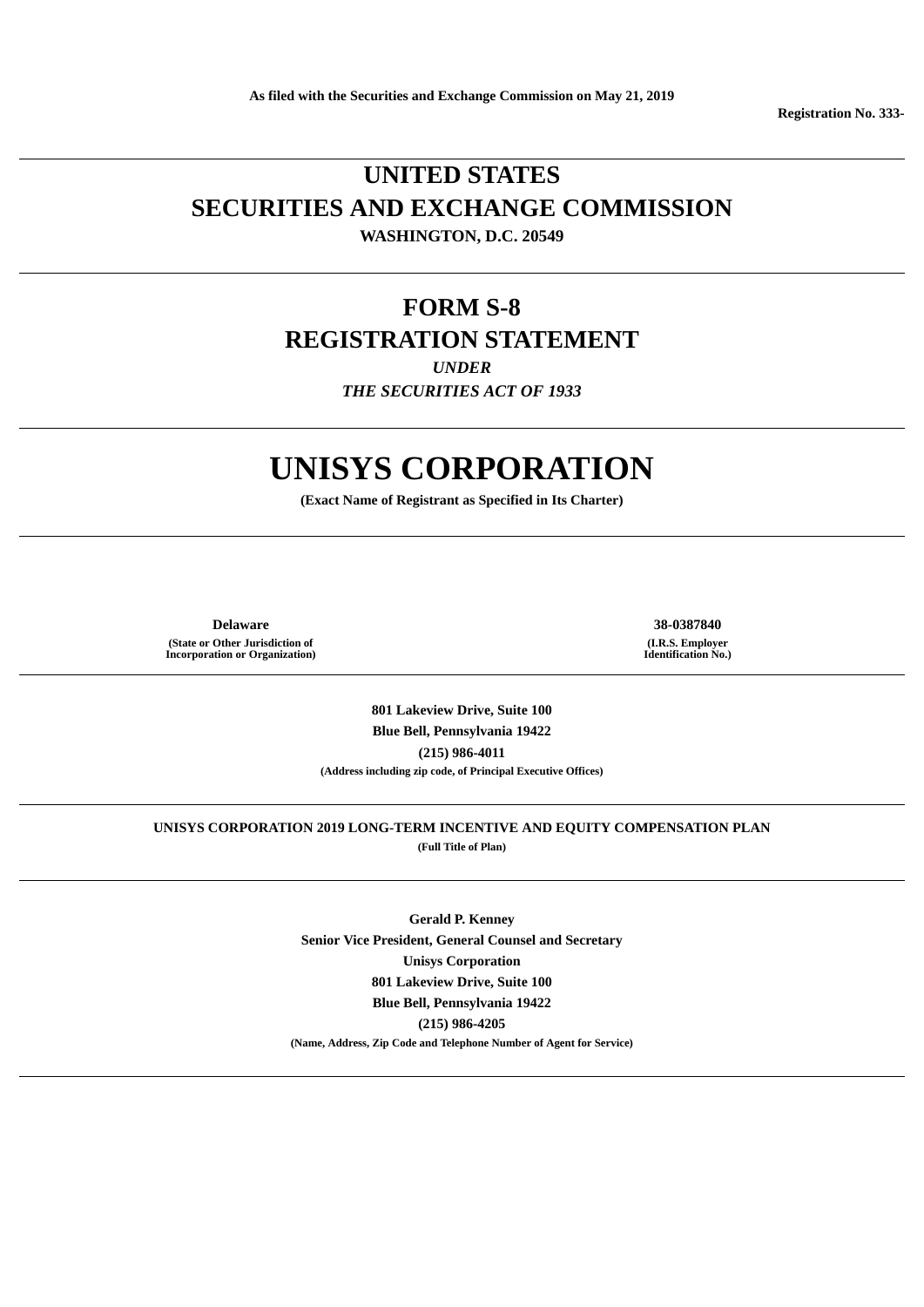**Registration No. 333-**

# **UNITED STATES SECURITIES AND EXCHANGE COMMISSION WASHINGTON, D.C. 20549**

# **FORM S-8 REGISTRATION STATEMENT**

*UNDER*

*THE SECURITIES ACT OF 1933*

# **UNISYS CORPORATION**

**(Exact Name of Registrant as Specified in Its Charter)**

**Delaware 38-0387840 (State or Other Jurisdiction of Incorporation or Organization)**

**(I.R.S. Employer Identification No.)**

**801 Lakeview Drive, Suite 100 Blue Bell, Pennsylvania 19422 (215) 986-4011 (Address including zip code, of Principal Executive Offices)**

**UNISYS CORPORATION 2019 LONG-TERM INCENTIVE AND EQUITY COMPENSATION PLAN (Full Title of Plan)**

> **Gerald P. Kenney Senior Vice President, General Counsel and Secretary Unisys Corporation 801 Lakeview Drive, Suite 100 Blue Bell, Pennsylvania 19422 (215) 986-4205 (Name, Address, Zip Code and Telephone Number of Agent for Service)**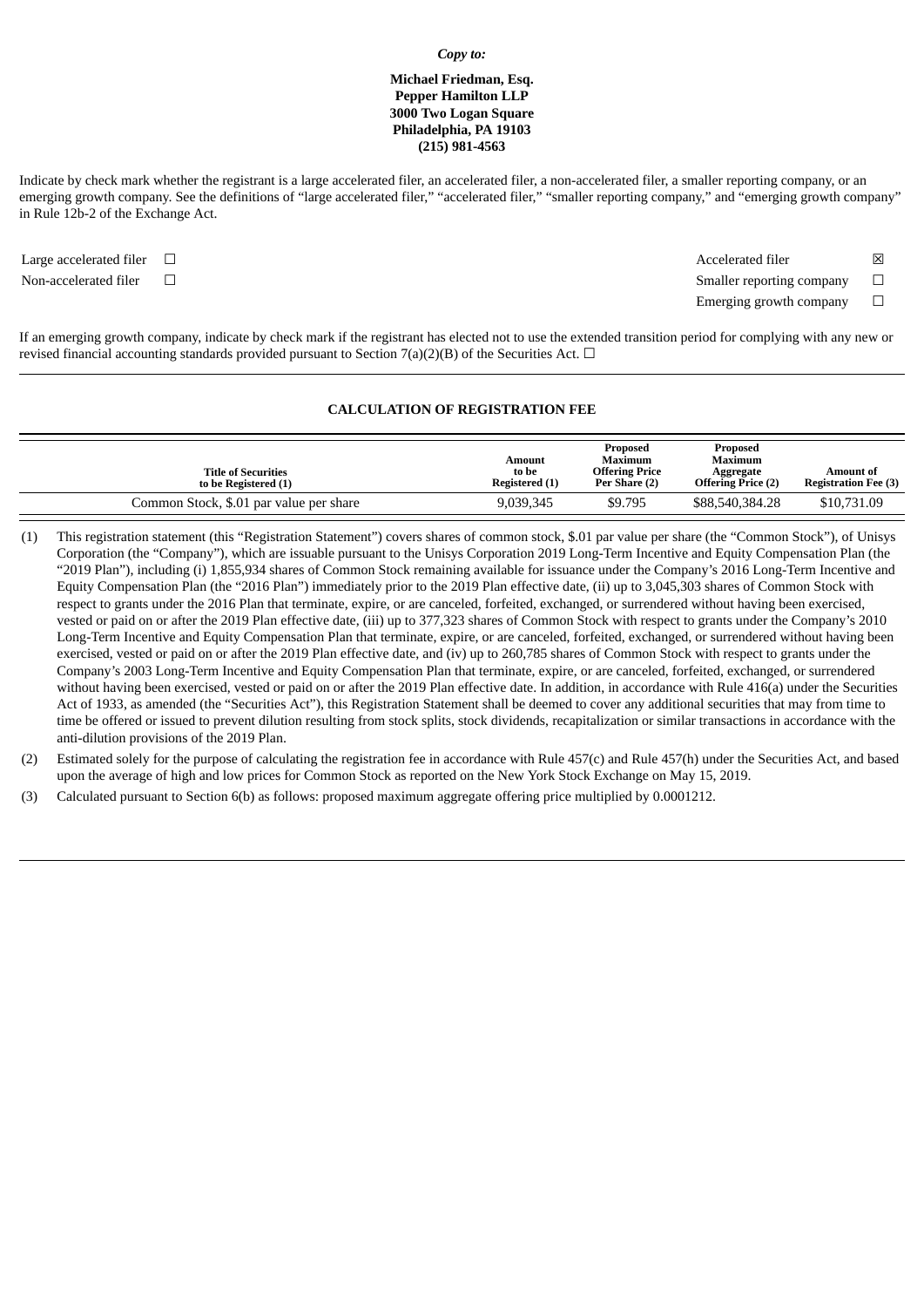#### *Copy to:*

# **Michael Friedman, Esq. Pepper Hamilton LLP 3000 Two Logan Square Philadelphia, PA 19103 (215) 981-4563**

Indicate by check mark whether the registrant is a large accelerated filer, an accelerated filer, a non-accelerated filer, a smaller reporting company, or an emerging growth company. See the definitions of "large accelerated filer," "accelerated filer," "smaller reporting company," and "emerging growth company" in Rule 12b-2 of the Exchange Act.

Large accelerated filer □  $□$ Non-accelerated filer <del>□</del> Emerging growth company  $\Box$ 

If an emerging growth company, indicate by check mark if the registrant has elected not to use the extended transition period for complying with any new or revised financial accounting standards provided pursuant to Section 7(a)(2)(B) of the Securities Act.  $\Box$ 

# **CALCULATION OF REGISTRATION FEE**

| <b>Title of Securities</b><br>to be Registered (1) | Amount<br>to be<br><b>Registered</b> (1) | Proposed<br>Maximum<br><b>Offering Price</b><br>Per Share (2) | Proposed<br>Maximum<br>Aggregate<br><b>Offering Price (2)</b> | Amount of<br><b>Registration Fee (3)</b> |
|----------------------------------------------------|------------------------------------------|---------------------------------------------------------------|---------------------------------------------------------------|------------------------------------------|
| Common Stock, \$.01 par value per share            | 9,039,345                                | \$9.795                                                       | \$88,540,384.28                                               | \$10,731.09                              |

- (1) This registration statement (this "Registration Statement") covers shares of common stock, \$.01 par value per share (the "Common Stock"), of Unisys Corporation (the "Company"), which are issuable pursuant to the Unisys Corporation 2019 Long-Term Incentive and Equity Compensation Plan (the "2019 Plan"), including (i) 1,855,934 shares of Common Stock remaining available for issuance under the Company's 2016 Long-Term Incentive and Equity Compensation Plan (the "2016 Plan") immediately prior to the 2019 Plan effective date, (ii) up to 3,045,303 shares of Common Stock with respect to grants under the 2016 Plan that terminate, expire, or are canceled, forfeited, exchanged, or surrendered without having been exercised, vested or paid on or after the 2019 Plan effective date, (iii) up to 377,323 shares of Common Stock with respect to grants under the Company's 2010 Long-Term Incentive and Equity Compensation Plan that terminate, expire, or are canceled, forfeited, exchanged, or surrendered without having been exercised, vested or paid on or after the 2019 Plan effective date, and (iv) up to 260,785 shares of Common Stock with respect to grants under the Company's 2003 Long-Term Incentive and Equity Compensation Plan that terminate, expire, or are canceled, forfeited, exchanged, or surrendered without having been exercised, vested or paid on or after the 2019 Plan effective date. In addition, in accordance with Rule 416(a) under the Securities Act of 1933, as amended (the "Securities Act"), this Registration Statement shall be deemed to cover any additional securities that may from time to time be offered or issued to prevent dilution resulting from stock splits, stock dividends, recapitalization or similar transactions in accordance with the anti-dilution provisions of the 2019 Plan.
- (2) Estimated solely for the purpose of calculating the registration fee in accordance with Rule 457(c) and Rule 457(h) under the Securities Act, and based upon the average of high and low prices for Common Stock as reported on the New York Stock Exchange on May 15, 2019.
- (3) Calculated pursuant to Section 6(b) as follows: proposed maximum aggregate offering price multiplied by 0.0001212.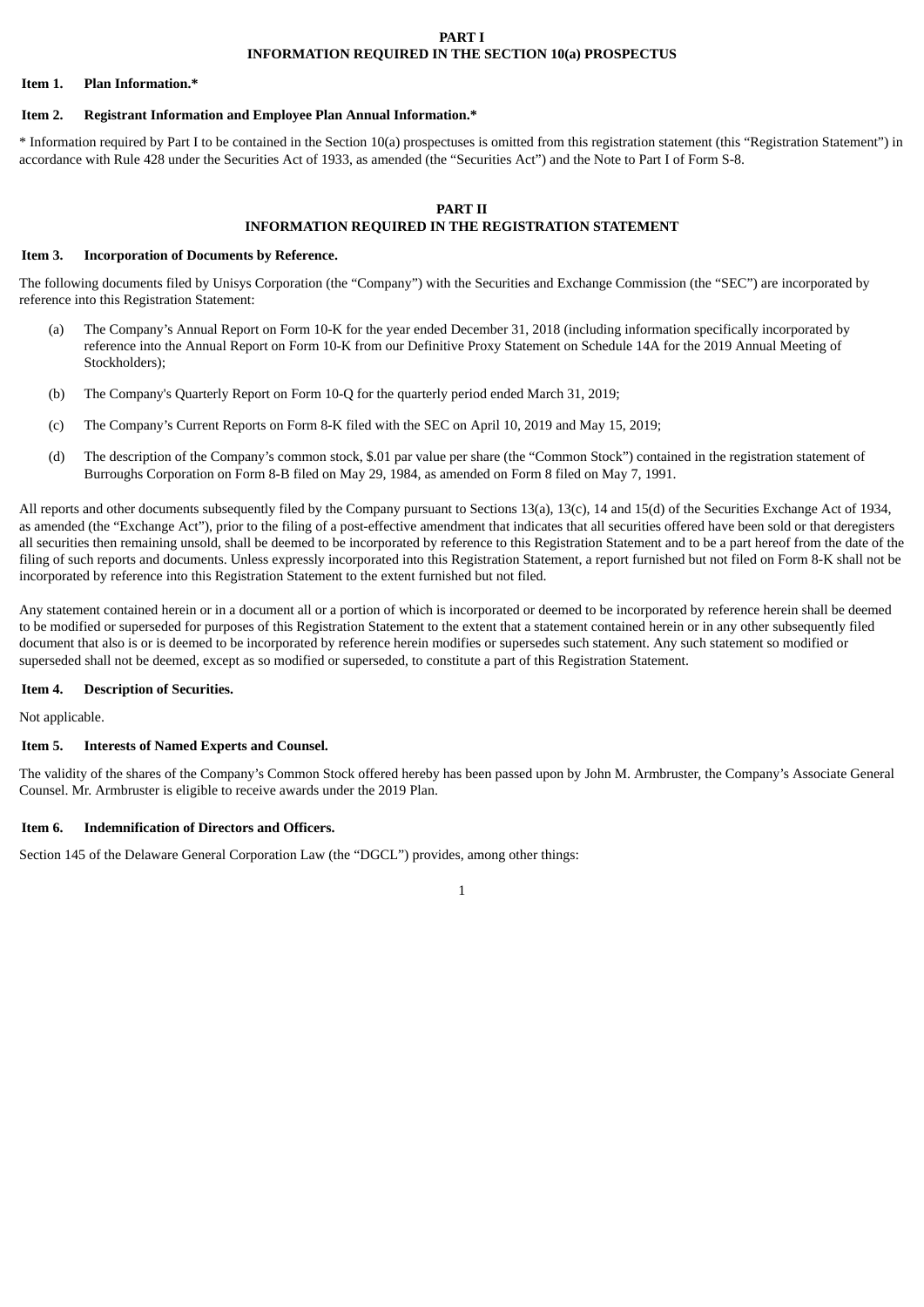# **PART I INFORMATION REQUIRED IN THE SECTION 10(a) PROSPECTUS**

#### **Item 1. Plan Information.\***

# **Item 2. Registrant Information and Employee Plan Annual Information.\***

\* Information required by Part I to be contained in the Section 10(a) prospectuses is omitted from this registration statement (this "Registration Statement") in accordance with Rule 428 under the Securities Act of 1933, as amended (the "Securities Act") and the Note to Part I of Form S-8.

# **PART II INFORMATION REQUIRED IN THE REGISTRATION STATEMENT**

#### **Item 3. Incorporation of Documents by Reference.**

The following documents filed by Unisys Corporation (the "Company") with the Securities and Exchange Commission (the "SEC") are incorporated by reference into this Registration Statement:

- (a) The Company's Annual Report on Form 10-K for the year ended December 31, 2018 (including information specifically incorporated by reference into the Annual Report on Form 10-K from our Definitive Proxy Statement on Schedule 14A for the 2019 Annual Meeting of Stockholders);
- (b) The Company's Quarterly Report on Form 10-Q for the quarterly period ended March 31, 2019;
- (c) The Company's Current Reports on Form 8-K filed with the SEC on April 10, 2019 and May 15, 2019;
- (d) The description of the Company's common stock, \$.01 par value per share (the "Common Stock") contained in the registration statement of Burroughs Corporation on Form 8-B filed on May 29, 1984, as amended on Form 8 filed on May 7, 1991.

All reports and other documents subsequently filed by the Company pursuant to Sections 13(a), 13(c), 14 and 15(d) of the Securities Exchange Act of 1934, as amended (the "Exchange Act"), prior to the filing of a post-effective amendment that indicates that all securities offered have been sold or that deregisters all securities then remaining unsold, shall be deemed to be incorporated by reference to this Registration Statement and to be a part hereof from the date of the filing of such reports and documents. Unless expressly incorporated into this Registration Statement, a report furnished but not filed on Form 8-K shall not be incorporated by reference into this Registration Statement to the extent furnished but not filed.

Any statement contained herein or in a document all or a portion of which is incorporated or deemed to be incorporated by reference herein shall be deemed to be modified or superseded for purposes of this Registration Statement to the extent that a statement contained herein or in any other subsequently filed document that also is or is deemed to be incorporated by reference herein modifies or supersedes such statement. Any such statement so modified or superseded shall not be deemed, except as so modified or superseded, to constitute a part of this Registration Statement.

# **Item 4. Description of Securities.**

Not applicable.

#### **Item 5. Interests of Named Experts and Counsel.**

The validity of the shares of the Company's Common Stock offered hereby has been passed upon by John M. Armbruster, the Company's Associate General Counsel. Mr. Armbruster is eligible to receive awards under the 2019 Plan.

### **Item 6. Indemnification of Directors and Officers.**

Section 145 of the Delaware General Corporation Law (the "DGCL") provides, among other things: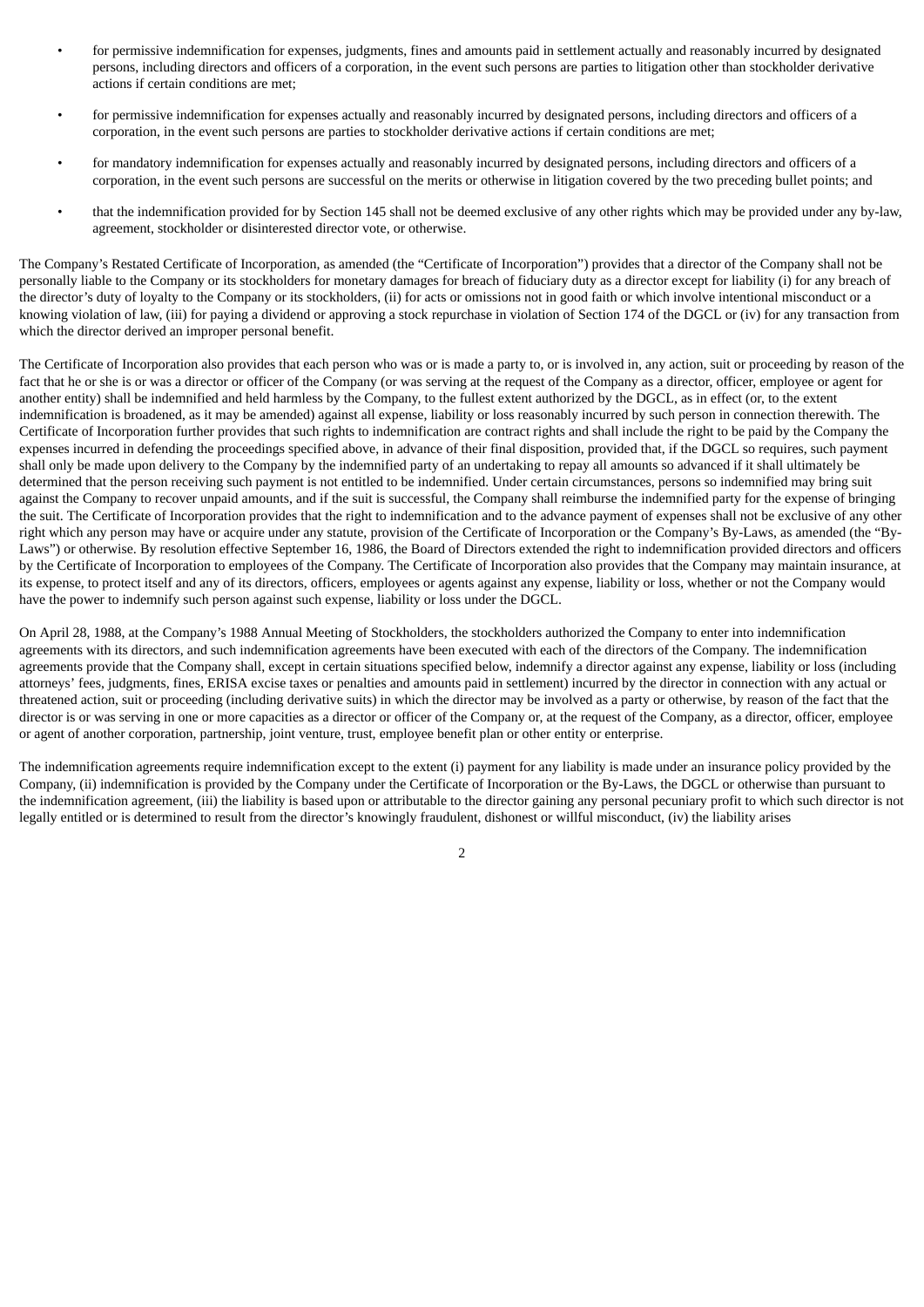- for permissive indemnification for expenses, judgments, fines and amounts paid in settlement actually and reasonably incurred by designated persons, including directors and officers of a corporation, in the event such persons are parties to litigation other than stockholder derivative actions if certain conditions are met;
- for permissive indemnification for expenses actually and reasonably incurred by designated persons, including directors and officers of a corporation, in the event such persons are parties to stockholder derivative actions if certain conditions are met;
- for mandatory indemnification for expenses actually and reasonably incurred by designated persons, including directors and officers of a corporation, in the event such persons are successful on the merits or otherwise in litigation covered by the two preceding bullet points; and
- that the indemnification provided for by Section 145 shall not be deemed exclusive of any other rights which may be provided under any by-law, agreement, stockholder or disinterested director vote, or otherwise.

The Company's Restated Certificate of Incorporation, as amended (the "Certificate of Incorporation") provides that a director of the Company shall not be personally liable to the Company or its stockholders for monetary damages for breach of fiduciary duty as a director except for liability (i) for any breach of the director's duty of loyalty to the Company or its stockholders, (ii) for acts or omissions not in good faith or which involve intentional misconduct or a knowing violation of law, (iii) for paying a dividend or approving a stock repurchase in violation of Section 174 of the DGCL or (iv) for any transaction from which the director derived an improper personal benefit.

The Certificate of Incorporation also provides that each person who was or is made a party to, or is involved in, any action, suit or proceeding by reason of the fact that he or she is or was a director or officer of the Company (or was serving at the request of the Company as a director, officer, employee or agent for another entity) shall be indemnified and held harmless by the Company, to the fullest extent authorized by the DGCL, as in effect (or, to the extent indemnification is broadened, as it may be amended) against all expense, liability or loss reasonably incurred by such person in connection therewith. The Certificate of Incorporation further provides that such rights to indemnification are contract rights and shall include the right to be paid by the Company the expenses incurred in defending the proceedings specified above, in advance of their final disposition, provided that, if the DGCL so requires, such payment shall only be made upon delivery to the Company by the indemnified party of an undertaking to repay all amounts so advanced if it shall ultimately be determined that the person receiving such payment is not entitled to be indemnified. Under certain circumstances, persons so indemnified may bring suit against the Company to recover unpaid amounts, and if the suit is successful, the Company shall reimburse the indemnified party for the expense of bringing the suit. The Certificate of Incorporation provides that the right to indemnification and to the advance payment of expenses shall not be exclusive of any other right which any person may have or acquire under any statute, provision of the Certificate of Incorporation or the Company's By-Laws, as amended (the "By-Laws") or otherwise. By resolution effective September 16, 1986, the Board of Directors extended the right to indemnification provided directors and officers by the Certificate of Incorporation to employees of the Company. The Certificate of Incorporation also provides that the Company may maintain insurance, at its expense, to protect itself and any of its directors, officers, employees or agents against any expense, liability or loss, whether or not the Company would have the power to indemnify such person against such expense, liability or loss under the DGCL.

On April 28, 1988, at the Company's 1988 Annual Meeting of Stockholders, the stockholders authorized the Company to enter into indemnification agreements with its directors, and such indemnification agreements have been executed with each of the directors of the Company. The indemnification agreements provide that the Company shall, except in certain situations specified below, indemnify a director against any expense, liability or loss (including attorneys' fees, judgments, fines, ERISA excise taxes or penalties and amounts paid in settlement) incurred by the director in connection with any actual or threatened action, suit or proceeding (including derivative suits) in which the director may be involved as a party or otherwise, by reason of the fact that the director is or was serving in one or more capacities as a director or officer of the Company or, at the request of the Company, as a director, officer, employee or agent of another corporation, partnership, joint venture, trust, employee benefit plan or other entity or enterprise.

The indemnification agreements require indemnification except to the extent (i) payment for any liability is made under an insurance policy provided by the Company, (ii) indemnification is provided by the Company under the Certificate of Incorporation or the By-Laws, the DGCL or otherwise than pursuant to the indemnification agreement, (iii) the liability is based upon or attributable to the director gaining any personal pecuniary profit to which such director is not legally entitled or is determined to result from the director's knowingly fraudulent, dishonest or willful misconduct, (iv) the liability arises

 $\overline{2}$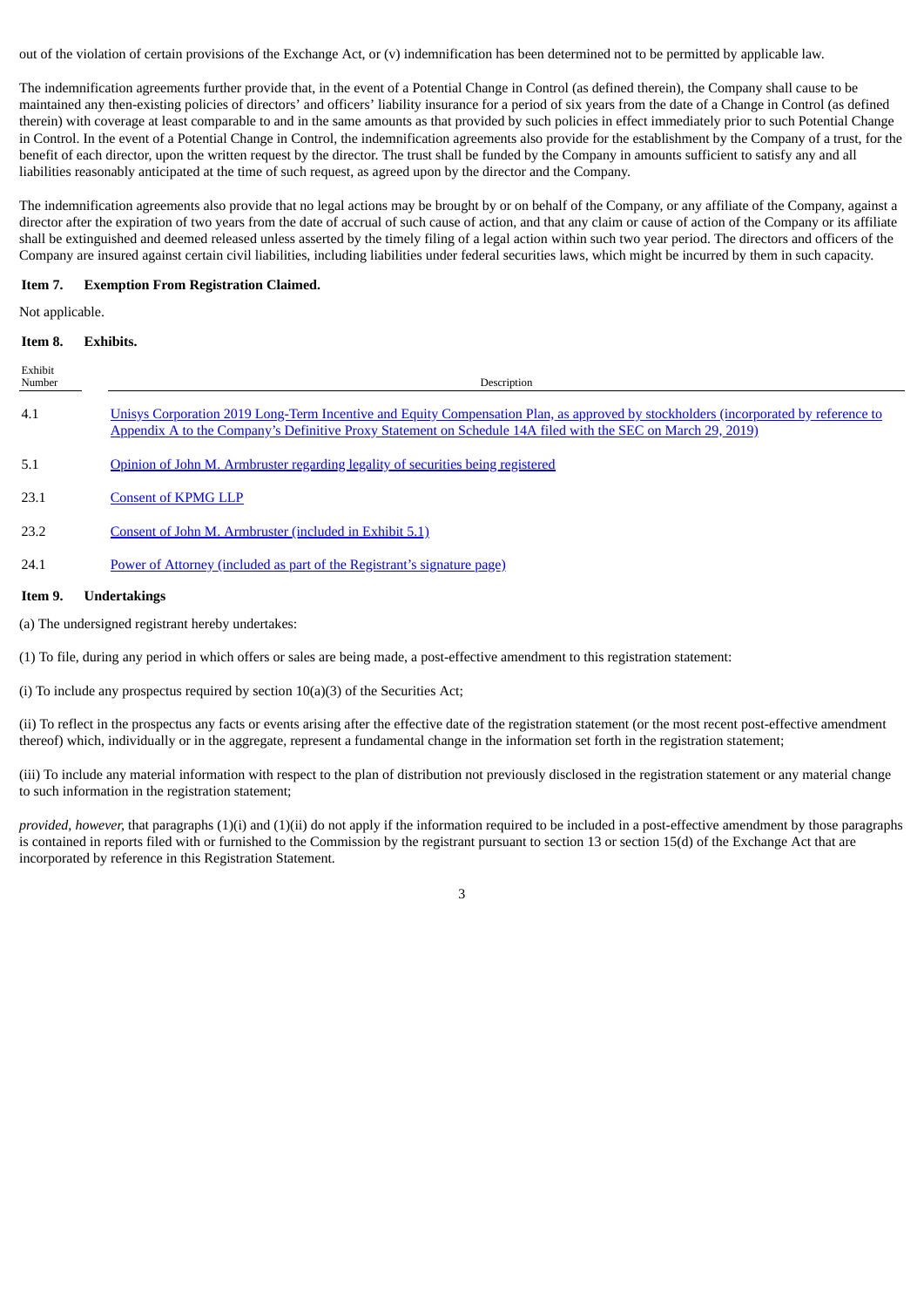out of the violation of certain provisions of the Exchange Act, or (v) indemnification has been determined not to be permitted by applicable law.

The indemnification agreements further provide that, in the event of a Potential Change in Control (as defined therein), the Company shall cause to be maintained any then-existing policies of directors' and officers' liability insurance for a period of six years from the date of a Change in Control (as defined therein) with coverage at least comparable to and in the same amounts as that provided by such policies in effect immediately prior to such Potential Change in Control. In the event of a Potential Change in Control, the indemnification agreements also provide for the establishment by the Company of a trust, for the benefit of each director, upon the written request by the director. The trust shall be funded by the Company in amounts sufficient to satisfy any and all liabilities reasonably anticipated at the time of such request, as agreed upon by the director and the Company.

The indemnification agreements also provide that no legal actions may be brought by or on behalf of the Company, or any affiliate of the Company, against a director after the expiration of two years from the date of accrual of such cause of action, and that any claim or cause of action of the Company or its affiliate shall be extinguished and deemed released unless asserted by the timely filing of a legal action within such two year period. The directors and officers of the Company are insured against certain civil liabilities, including liabilities under federal securities laws, which might be incurred by them in such capacity.

# **Item 7. Exemption From Registration Claimed.**

Not applicable.

#### **Item 8. Exhibits.**

| Exhibit<br>Number    | Description                                                                                                                                                                                                                                         |
|----------------------|-----------------------------------------------------------------------------------------------------------------------------------------------------------------------------------------------------------------------------------------------------|
| 4.1                  | Unisys Corporation 2019 Long-Term Incentive and Equity Compensation Plan, as approved by stockholders (incorporated by reference to<br>Appendix A to the Company's Definitive Proxy Statement on Schedule 14A filed with the SEC on March 29, 2019) |
| 5.1                  | Opinion of John M. Armbruster regarding legality of securities being registered                                                                                                                                                                     |
| 23.1                 | <b>Consent of KPMG LLP</b>                                                                                                                                                                                                                          |
| 23.2                 | Consent of John M. Armbruster (included in Exhibit 5.1)                                                                                                                                                                                             |
| 24.1                 | Power of Attorney (included as part of the Registrant's signature page)                                                                                                                                                                             |
| $\sim$ $\sim$ $\sim$ |                                                                                                                                                                                                                                                     |

### **Item 9. Undertakings**

(a) The undersigned registrant hereby undertakes:

(1) To file, during any period in which offers or sales are being made, a post-effective amendment to this registration statement:

(i) To include any prospectus required by section 10(a)(3) of the Securities Act;

(ii) To reflect in the prospectus any facts or events arising after the effective date of the registration statement (or the most recent post-effective amendment thereof) which, individually or in the aggregate, represent a fundamental change in the information set forth in the registration statement;

(iii) To include any material information with respect to the plan of distribution not previously disclosed in the registration statement or any material change to such information in the registration statement;

*provided, however,* that paragraphs (1)(i) and (1)(ii) do not apply if the information required to be included in a post-effective amendment by those paragraphs is contained in reports filed with or furnished to the Commission by the registrant pursuant to section 13 or section 15(d) of the Exchange Act that are incorporated by reference in this Registration Statement.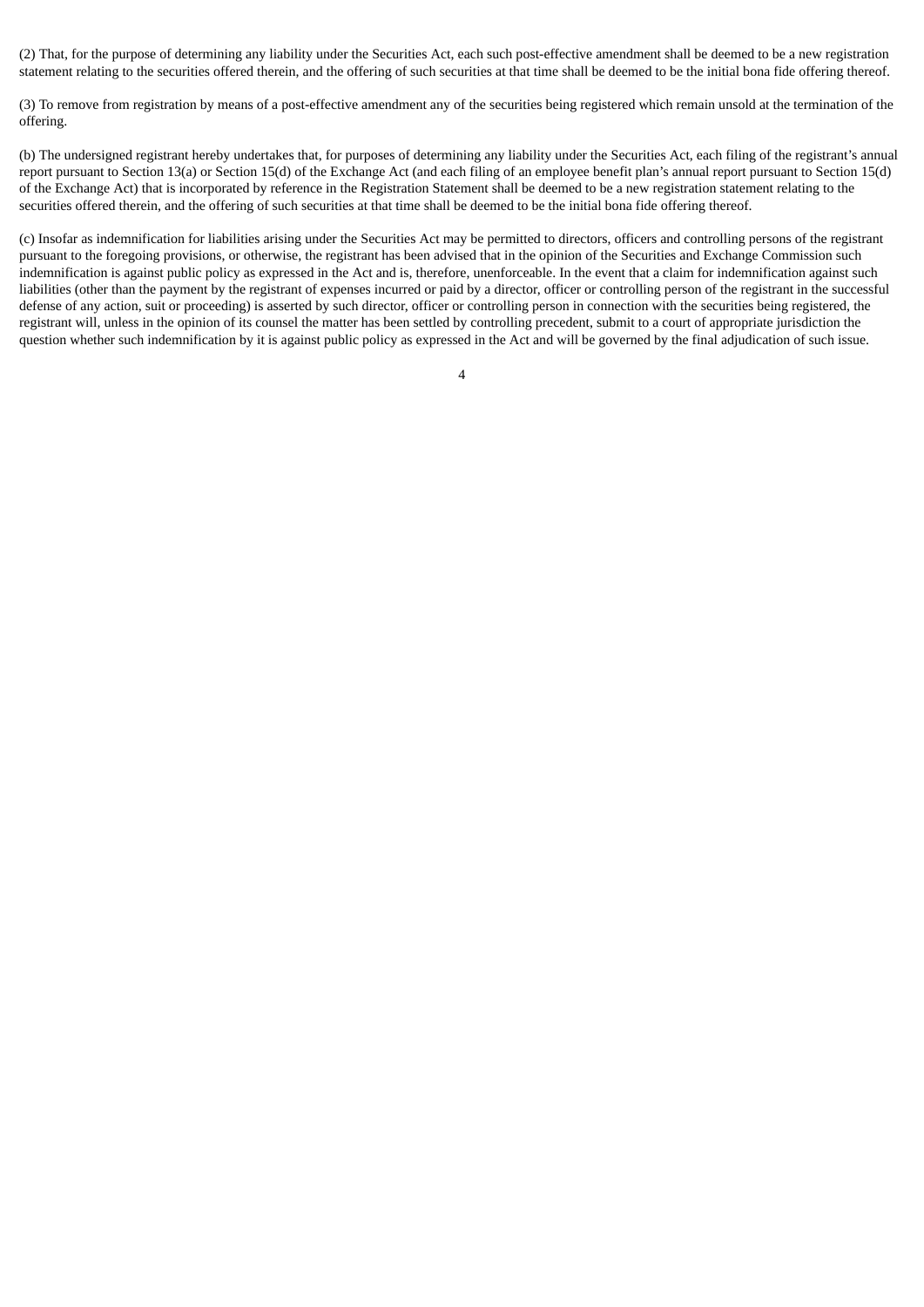(2) That, for the purpose of determining any liability under the Securities Act, each such post-effective amendment shall be deemed to be a new registration statement relating to the securities offered therein, and the offering of such securities at that time shall be deemed to be the initial bona fide offering thereof.

(3) To remove from registration by means of a post-effective amendment any of the securities being registered which remain unsold at the termination of the offering.

(b) The undersigned registrant hereby undertakes that, for purposes of determining any liability under the Securities Act, each filing of the registrant's annual report pursuant to Section 13(a) or Section 15(d) of the Exchange Act (and each filing of an employee benefit plan's annual report pursuant to Section 15(d) of the Exchange Act) that is incorporated by reference in the Registration Statement shall be deemed to be a new registration statement relating to the securities offered therein, and the offering of such securities at that time shall be deemed to be the initial bona fide offering thereof.

(c) Insofar as indemnification for liabilities arising under the Securities Act may be permitted to directors, officers and controlling persons of the registrant pursuant to the foregoing provisions, or otherwise, the registrant has been advised that in the opinion of the Securities and Exchange Commission such indemnification is against public policy as expressed in the Act and is, therefore, unenforceable. In the event that a claim for indemnification against such liabilities (other than the payment by the registrant of expenses incurred or paid by a director, officer or controlling person of the registrant in the successful defense of any action, suit or proceeding) is asserted by such director, officer or controlling person in connection with the securities being registered, the registrant will, unless in the opinion of its counsel the matter has been settled by controlling precedent, submit to a court of appropriate jurisdiction the question whether such indemnification by it is against public policy as expressed in the Act and will be governed by the final adjudication of such issue.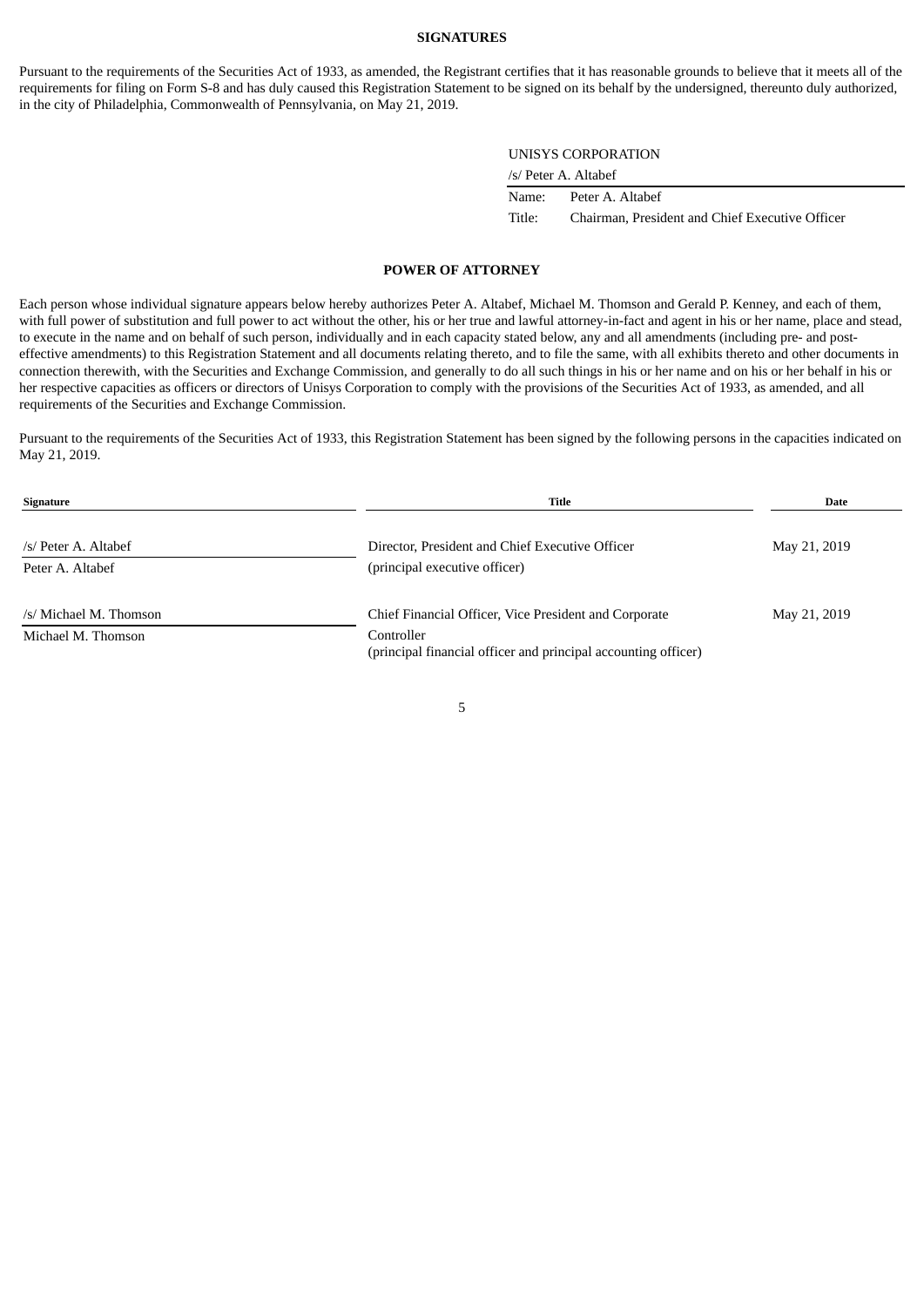#### **SIGNATURES**

<span id="page-6-0"></span>Pursuant to the requirements of the Securities Act of 1933, as amended, the Registrant certifies that it has reasonable grounds to believe that it meets all of the requirements for filing on Form S-8 and has duly caused this Registration Statement to be signed on its behalf by the undersigned, thereunto duly authorized, in the city of Philadelphia, Commonwealth of Pennsylvania, on May 21, 2019.

#### UNISYS CORPORATION

| /s/ Peter A. Altabef |  |
|----------------------|--|
|                      |  |

| Name:  | Peter A. Altabef                                |
|--------|-------------------------------------------------|
| Title: | Chairman, President and Chief Executive Officer |

### **POWER OF ATTORNEY**

Each person whose individual signature appears below hereby authorizes Peter A. Altabef, Michael M. Thomson and Gerald P. Kenney, and each of them, with full power of substitution and full power to act without the other, his or her true and lawful attorney-in-fact and agent in his or her name, place and stead, to execute in the name and on behalf of such person, individually and in each capacity stated below, any and all amendments (including pre- and posteffective amendments) to this Registration Statement and all documents relating thereto, and to file the same, with all exhibits thereto and other documents in connection therewith, with the Securities and Exchange Commission, and generally to do all such things in his or her name and on his or her behalf in his or her respective capacities as officers or directors of Unisys Corporation to comply with the provisions of the Securities Act of 1933, as amended, and all requirements of the Securities and Exchange Commission.

Pursuant to the requirements of the Securities Act of 1933, this Registration Statement has been signed by the following persons in the capacities indicated on May 21, 2019.

| Signature              | Title                                                                        | Date         |
|------------------------|------------------------------------------------------------------------------|--------------|
| /s/ Peter A. Altabef   | Director, President and Chief Executive Officer                              | May 21, 2019 |
| Peter A. Altabef       | (principal executive officer)                                                |              |
| /s/ Michael M. Thomson | Chief Financial Officer, Vice President and Corporate                        | May 21, 2019 |
| Michael M. Thomson     | Controller<br>(principal financial officer and principal accounting officer) |              |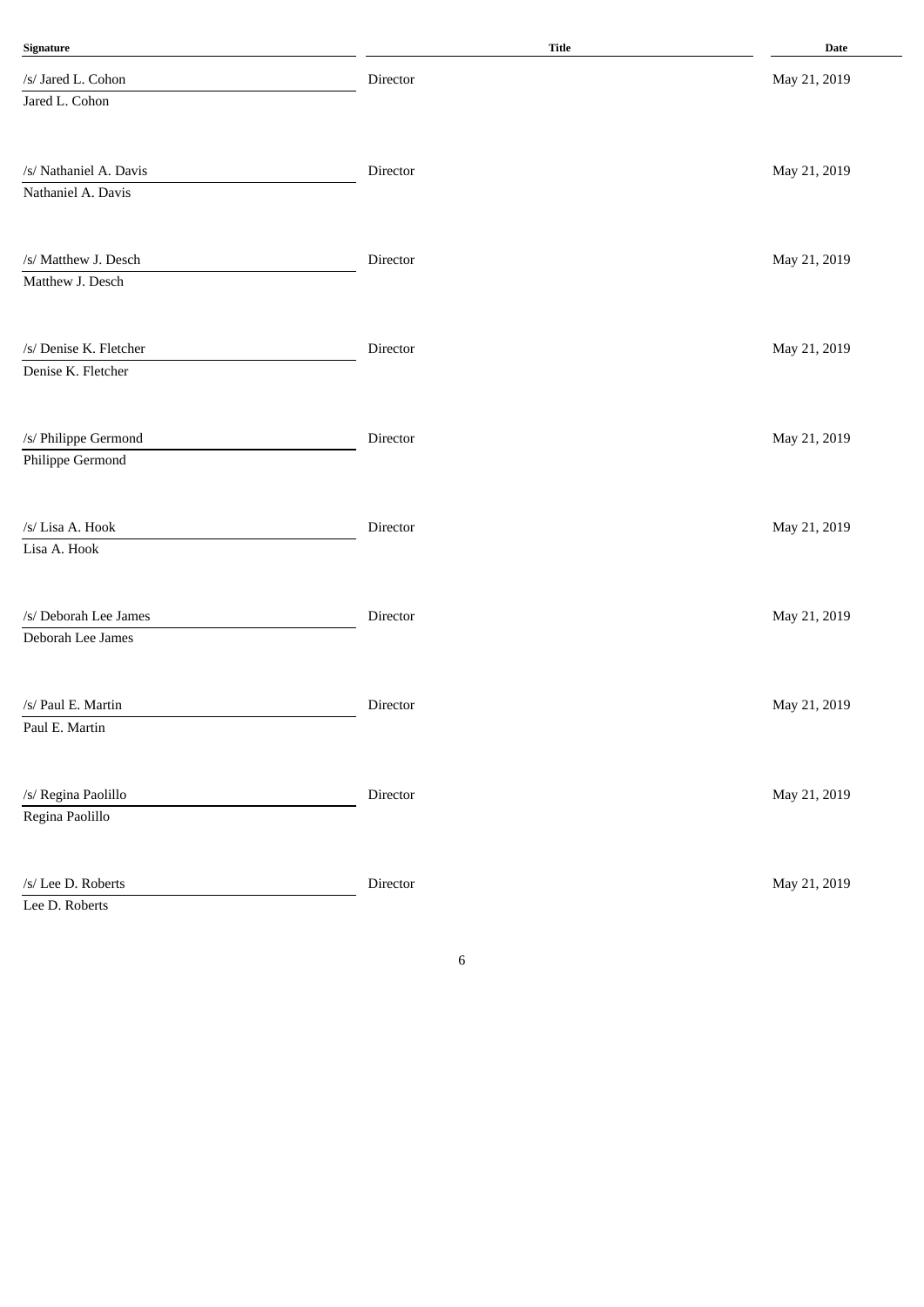| Signature                                    | Title    | <b>Date</b>  |
|----------------------------------------------|----------|--------------|
| /s/ Jared L. Cohon                           | Director | May 21, 2019 |
| Jared L. Cohon                               |          |              |
| /s/ Nathaniel A. Davis<br>Nathaniel A. Davis | Director | May 21, 2019 |
| /s/ Matthew J. Desch                         | Director | May 21, 2019 |
| Matthew J. Desch                             |          |              |
| /s/ Denise K. Fletcher<br>Denise K. Fletcher | Director | May 21, 2019 |
| /s/ Philippe Germond<br>Philippe Germond     | Director | May 21, 2019 |
| /s/ Lisa A. Hook<br>Lisa A. Hook             | Director | May 21, 2019 |
| /s/ Deborah Lee James<br>Deborah Lee James   | Director | May 21, 2019 |
| /s/ Paul E. Martin<br>Paul E. Martin         | Director | May 21, 2019 |
| /s/ Regina Paolillo<br>Regina Paolillo       | Director | May 21, 2019 |
| /s/ Lee D. Roberts<br>Lee D. Roberts         | Director | May 21, 2019 |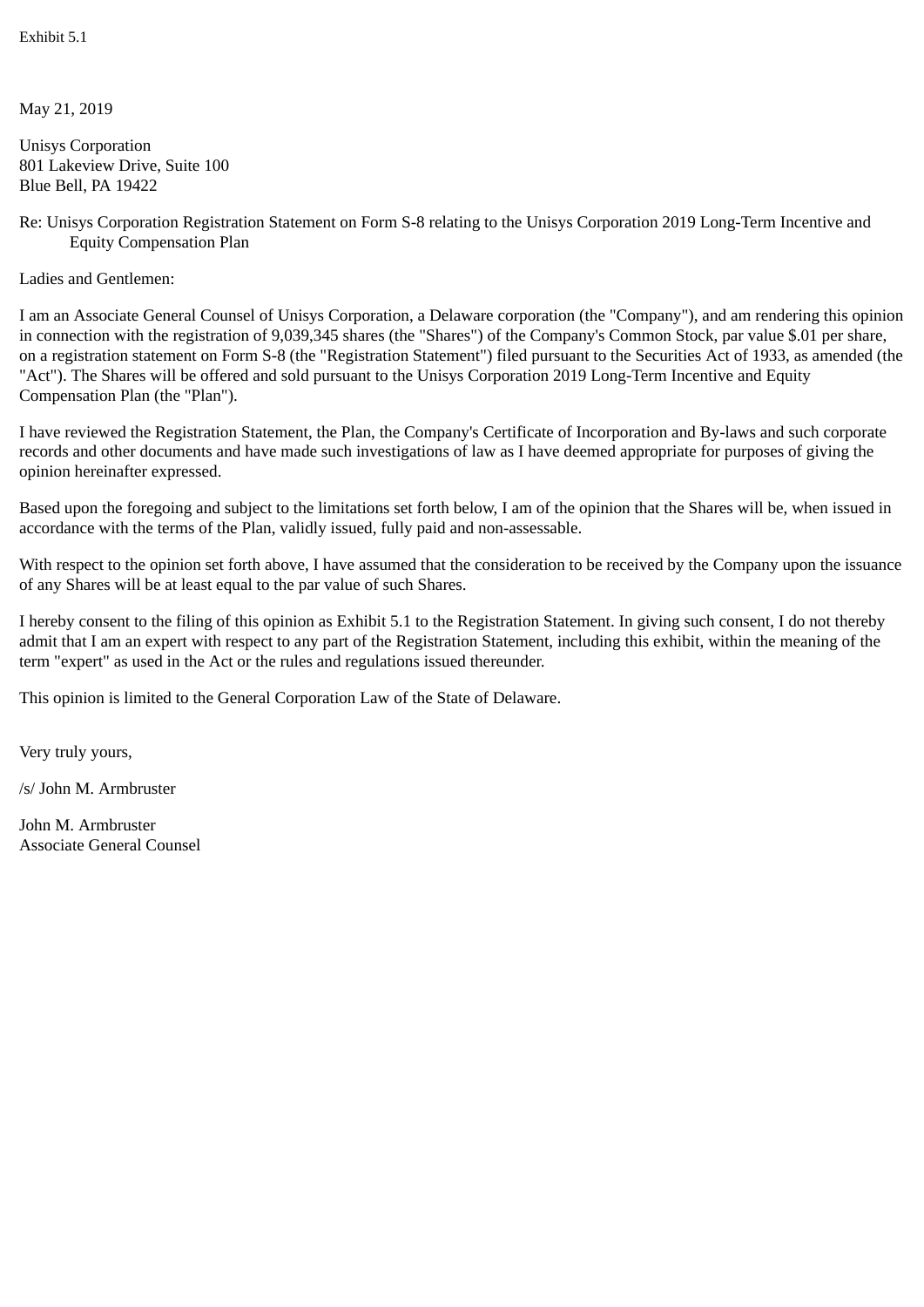May 21, 2019

Unisys Corporation 801 Lakeview Drive, Suite 100 Blue Bell, PA 19422

Re: Unisys Corporation Registration Statement on Form S-8 relating to the Unisys Corporation 2019 Long-Term Incentive and Equity Compensation Plan

Ladies and Gentlemen:

I am an Associate General Counsel of Unisys Corporation, a Delaware corporation (the "Company"), and am rendering this opinion in connection with the registration of 9,039,345 shares (the "Shares") of the Company's Common Stock, par value \$.01 per share, on a registration statement on Form S-8 (the "Registration Statement") filed pursuant to the Securities Act of 1933, as amended (the "Act"). The Shares will be offered and sold pursuant to the Unisys Corporation 2019 Long-Term Incentive and Equity Compensation Plan (the "Plan").

I have reviewed the Registration Statement, the Plan, the Company's Certificate of Incorporation and By-laws and such corporate records and other documents and have made such investigations of law as I have deemed appropriate for purposes of giving the opinion hereinafter expressed.

Based upon the foregoing and subject to the limitations set forth below, I am of the opinion that the Shares will be, when issued in accordance with the terms of the Plan, validly issued, fully paid and non-assessable.

With respect to the opinion set forth above, I have assumed that the consideration to be received by the Company upon the issuance of any Shares will be at least equal to the par value of such Shares.

I hereby consent to the filing of this opinion as Exhibit 5.1 to the Registration Statement. In giving such consent, I do not thereby admit that I am an expert with respect to any part of the Registration Statement, including this exhibit, within the meaning of the term "expert" as used in the Act or the rules and regulations issued thereunder.

This opinion is limited to the General Corporation Law of the State of Delaware.

Very truly yours,

/s/ John M. Armbruster

John M. Armbruster Associate General Counsel